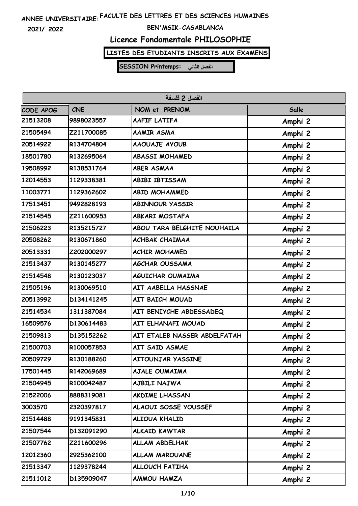**2021/ 2022**

#### **BEN'MSIK-CASABLANCA**

### **Licence Fondamentale PHILOSOPHIE**

# **LISTES DES ETUDIANTS INSCRITS AUX EXAMENS**

| الفصل 2 فلسفة |            |                              |         |
|---------------|------------|------------------------------|---------|
| CODE APOG     | <b>CNE</b> | NOM et PRENOM                | Salle   |
| 21513208      | 9898023557 | AAFIF LATIFA                 | Amphi 2 |
| 21505494      | Z211700085 | <b>AAMIR ASMA</b>            | Amphi 2 |
| 20514922      | R134704804 | <b>AAOUAJE AYOUB</b>         | Amphi 2 |
| 18501780      | R132695064 | <b>ABASSI MOHAMED</b>        | Amphi 2 |
| 19508992      | R138531764 | <b>ABER ASMAA</b>            | Amphi 2 |
| 12014553      | 1129338381 | <b>ABIBI IBTISSAM</b>        | Amphi 2 |
| 11003771      | 1129362602 | <b>ABID MOHAMMED</b>         | Amphi 2 |
| 17513451      | 9492828193 | <b>ABINNOUR YASSIR</b>       | Amphi 2 |
| 21514545      | Z211600953 | <b>ABKARI MOSTAFA</b>        | Amphi 2 |
| 21506223      | R135215727 | ABOU TARA BELGHITE NOUHAILA  | Amphi 2 |
| 20508262      | R130671860 | <b>ACHBAK CHAIMAA</b>        | Amphi 2 |
| 20513331      | Z202000297 | <b>ACHIR MOHAMED</b>         | Amphi 2 |
| 21513437      | R130145277 | <b>AGCHAR OUSSAMA</b>        | Amphi 2 |
| 21514548      | R130123037 | AGUICHAR OUMAIMA             | Amphi 2 |
| 21505196      | R130069510 | AIT AABELLA HASSNAE          | Amphi 2 |
| 20513992      | D134141245 | AIT BAICH MOUAD              | Amphi 2 |
| 21514534      | 1311387084 | AIT BENIYCHE ABDESSADEQ      | Amphi 2 |
| 16509576      | D130614483 | AIT ELHANAFI MOUAD           | Amphi 2 |
| 21509813      | D135152262 | AIT ETALEB NASSER ABDELFATAH | Amphi 2 |
| 21500703      | R100057853 | AIT SAID ASMAE               | Amphi 2 |
| 20509729      | R130188260 | <b>AITOUNJAR YASSINE</b>     | Amphi 2 |
| 17501445      | R142069689 | AJALE OUMAIMA                | Amphi 2 |
| 21504945      | R100042487 | AJBILI NAJWA                 | Amphi 2 |
| 21522006      | 8888319081 | AKDIME LHASSAN               | Amphi 2 |
| 3003570       | 2320397817 | ALAOUI SOSSE YOUSSEF         | Amphi 2 |
| 21514488      | 9191345831 | ALIOUA KHALID                | Amphi 2 |
| 21507544      | D132091290 | <b>ALKAID KAWTAR</b>         | Amphi 2 |
| 21507762      | Z211600296 | ALLAM ABDELHAK               | Amphi 2 |
| 12012360      | 2925362100 | <b>ALLAM MAROUANE</b>        | Amphi 2 |
| 21513347      | 1129378244 | ALLOUCH FATIHA               | Amphi 2 |
| 21511012      | D135909047 | <b>AMMOU HAMZA</b>           | Amphi 2 |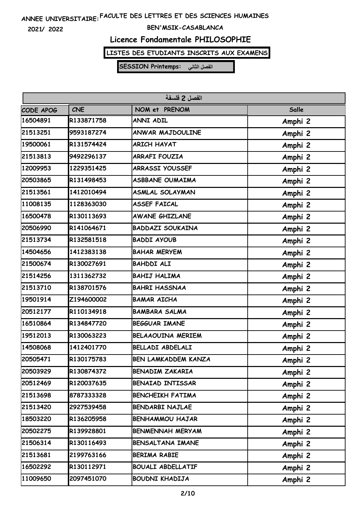**2021/ 2022**

#### **BEN'MSIK-CASABLANCA**

### **Licence Fondamentale PHILOSOPHIE**

### **LISTES DES ETUDIANTS INSCRITS AUX EXAMENS**

| الفصل 2 فلسفة |            |                          |         |
|---------------|------------|--------------------------|---------|
| CODE APOG     | <b>CNE</b> | NOM et PRENOM            | Salle   |
| 16504891      | R133871758 | <b>ANNI ADIL</b>         | Amphi 2 |
| 21513251      | 9593187274 | ANWAR MAJDOULINE         | Amphi 2 |
| 19500061      | R131574424 | <b>ARICH HAYAT</b>       | Amphi 2 |
| 21513813      | 9492296137 | <b>ARRAFI FOUZIA</b>     | Amphi 2 |
| 12009953      | 1229351425 | <b>ARRASSI YOUSSEF</b>   | Amphi 2 |
| 20503865      | R131498453 | <b>ASBBANE OUMAIMA</b>   | Amphi 2 |
| 21513561      | 1412010494 | <b>ASMLAL SOLAYMAN</b>   | Amphi 2 |
| 11008135      | 1128363030 | <b>ASSEF FAICAL</b>      | Amphi 2 |
| 16500478      | R130113693 | <b>AWANE GHIZLANE</b>    | Amphi 2 |
| 20506990      | R141064671 | <b>BADDAZI SOUKAINA</b>  | Amphi 2 |
| 21513734      | R132581518 | <b>BADDI AYOUB</b>       | Amphi 2 |
| 14504656      | 1412383138 | <b>BAHAR MERYEM</b>      | Amphi 2 |
| 21500674      | R130027691 | <b>BAHDDI ALI</b>        | Amphi 2 |
| 21514256      | 1311362732 | <b>BAHIJ HALIMA</b>      | Amphi 2 |
| 21513710      | R138701576 | <b>BAHRI HASSNAA</b>     | Amphi 2 |
| 19501914      | Z194600002 | <b>BAMAR AICHA</b>       | Amphi 2 |
| 20512177      | R110134918 | <b>BAMBARA SALMA</b>     | Amphi 2 |
| 16510864      | R134847720 | <b>BEGGUAR IMANE</b>     | Amphi 2 |
| 19512013      | R130063223 | <b>BELAAOUINA MERIEM</b> | Amphi 2 |
| 14508068      | 1412401770 | BELLADI ABDELALI         | Amphi 2 |
| 20505471      | R130175783 | BEN LAMKADDEM KANZA      | Amphi 2 |
| 20503929      | R130874372 | <b>BENADIM ZAKARIA</b>   | Amphi 2 |
| 20512469      | R120037635 | <b>BENAIAD INTISSAR</b>  | Amphi 2 |
| 21513698      | 8787333328 | <b>BENCHEIKH FATIMA</b>  | Amphi 2 |
| 21513420      | 2927539458 | BENDARBI NAJLAE          | Amphi 2 |
| 18503220      | R136205958 | <b>BENHAMMOU HAJAR</b>   | Amphi 2 |
| 20502275      | R139928801 | <b>BENMENNAH MERYAM</b>  | Amphi 2 |
| 21506314      | R130116493 | BENSALTANA IMANE         | Amphi 2 |
| 21513681      | 2199763166 | BERIMA RABIE             | Amphi 2 |
| 16502292      | R130112971 | <b>BOUALI ABDELLATIF</b> | Amphi 2 |
| 11009650      | 2097451070 | BOUDNI KHADIJA           | Amphi 2 |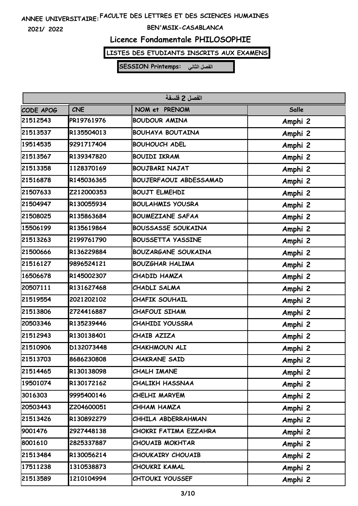**2021/ 2022**

#### **BEN'MSIK-CASABLANCA**

### **Licence Fondamentale PHILOSOPHIE**

# **LISTES DES ETUDIANTS INSCRITS AUX EXAMENS**

| الفصل 2 فلسفة |            |                               |         |  |
|---------------|------------|-------------------------------|---------|--|
| CODE APOG     | <b>CNE</b> | NOM et PRENOM                 | Salle   |  |
| 21512543      | PR19761976 | <b>BOUDOUR AMINA</b>          | Amphi 2 |  |
| 21513537      | R135504013 | <b>BOUHAYA BOUTAINA</b>       | Amphi 2 |  |
| 19514535      | 9291717404 | <b>BOUHOUCH ADEL</b>          | Amphi 2 |  |
| 21513567      | R139347820 | <b>BOUIDI IKRAM</b>           | Amphi 2 |  |
| 21513358      | 1128370169 | <b>BOUJBARI NAJAT</b>         | Amphi 2 |  |
| 21516878      | R145036365 | <b>BOUJERFAOUI ABDESSAMAD</b> | Amphi 2 |  |
| 21507633      | Z212000353 | <b>BOUJT ELMEHDI</b>          | Amphi 2 |  |
| 21504947      | R130055934 | <b>BOULAHMIS YOUSRA</b>       | Amphi 2 |  |
| 21508025      | R135863684 | <b>BOUMEZIANE SAFAA</b>       | Amphi 2 |  |
| 15506199      | R135619864 | <b>BOUSSASSE SOUKAINA</b>     | Amphi 2 |  |
| 21513263      | 2199761790 | <b>BOUSSETTA YASSINE</b>      | Amphi 2 |  |
| 21500666      | R136229884 | <b>BOUZARGANE SOUKAINA</b>    | Amphi 2 |  |
| 21516127      | 9896524121 | <b>BOUZGHAR HALIMA</b>        | Amphi 2 |  |
| 16506678      | R145002307 | CHADID HAMZA                  | Amphi 2 |  |
| 20507111      | R131627468 | CHADLI SALMA                  | Amphi 2 |  |
| 21519554      | 2021202102 | <b>CHAFIK SOUHAIL</b>         | Amphi 2 |  |
| 21513806      | 2724416887 | CHAFOUI SIHAM                 | Amphi 2 |  |
| 20503346      | R135239446 | <b>CHAHIDI YOUSSRA</b>        | Amphi 2 |  |
| 21512943      | R130138401 | CHAIB AZIZA                   | Amphi 2 |  |
| 21510906      | D132073448 | CHAKHMOUN ALI                 | Amphi 2 |  |
| 21513703      | 8686230808 | <b>CHAKRANE SAID</b>          | Amphi 2 |  |
| 21514465      | R130138098 | CHALH IMANE                   | Amphi 2 |  |
| 19501074      | R130172162 | <b>CHALIKH HASSNAA</b>        | Amphi 2 |  |
| 3016303       | 9995400146 | CHELHI MARYEM                 | Amphi 2 |  |
| 20503443      | Z204600051 | CHHAM HAMZA                   | Amphi 2 |  |
| 21513426      | R130892279 | CHHILA ABDERRAHMAN            | Amphi 2 |  |
| 9001476       | 2927448138 | CHOKRI FATIMA EZZAHRA         | Amphi 2 |  |
| 8001610       | 2825337887 | <b>CHOUAIB MOKHTAR</b>        | Amphi 2 |  |
| 21513484      | R130056214 | CHOUKAIRY CHOUAIB             | Amphi 2 |  |
| 17511238      | 1310538873 | CHOUKRI KAMAL                 | Amphi 2 |  |
| 21513589      | 1210104994 | <b>CHTOUKI YOUSSEF</b>        | Amphi 2 |  |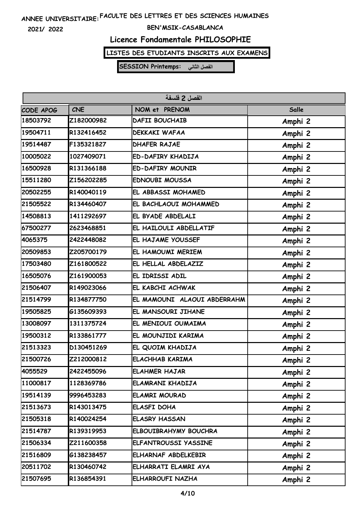**2021/ 2022**

#### **BEN'MSIK-CASABLANCA**

### **Licence Fondamentale PHILOSOPHIE**

# **LISTES DES ETUDIANTS INSCRITS AUX EXAMENS**

| الفصل 2 فلسفة |            |                             |         |
|---------------|------------|-----------------------------|---------|
| CODE APOG     | <b>CNE</b> | NOM et PRENOM               | Salle   |
| 18503792      | Z182000982 | <b>DAFII BOUCHAIB</b>       | Amphi 2 |
| 19504711      | R132416452 | <b>DEKKAKI WAFAA</b>        | Amphi 2 |
| 19514487      | F135321827 | <b>DHAFER RAJAE</b>         | Amphi 2 |
| 10005022      | 1027409071 | ED-DAFIRY KHADIJA           | Amphi 2 |
| 16500928      | R131366188 | <b>ED-DAFIRY MOUNIR</b>     | Amphi 2 |
| 15511280      | Z156202285 | <b>EDNOUBI MOUSSA</b>       | Amphi 2 |
| 20502255      | R140040119 | EL ABBASSI MOHAMED          | Amphi 2 |
| 21505522      | R134460407 | EL BACHLAOUI MOHAMMED       | Amphi 2 |
| 14508813      | 1411292697 | EL BYADE ABDELALI           | Amphi 2 |
| 67500277      | 2623468851 | EL HAILOULI ABDELLATIF      | Amphi 2 |
| 4065375       | 2422448082 | EL HAJAME YOUSSEF           | Amphi 2 |
| 20509853      | Z205700179 | EL HAMOUMI MERIEM           | Amphi 2 |
| 17503480      | Z161800522 | EL HELLAL ABDELAZIZ         | Amphi 2 |
| 16505076      | Z161900053 | EL IDRISSI ADIL             | Amphi 2 |
| 21506407      | R149023066 | EL KABCHI ACHWAK            | Amphi 2 |
| 21514799      | R134877750 | EL MAMOUNI ALAOUI ABDERRAHM | Amphi 2 |
| 19505825      | G135609393 | EL MANSOURI JIHANE          | Amphi 2 |
| 13008097      | 1311375724 | EL MENIOUI OUMAIMA          | Amphi 2 |
| 19500312      | R133861777 | EL MOUNJIDI KARIMA          | Amphi 2 |
| 21513323      | D130451269 | EL QUOIM KHADIJA            | Amphi 2 |
| 21500726      | Z212000812 | <b>ELACHHAB KARIMA</b>      | Amphi 2 |
| 4055529       | 2422455096 | <b>ELAHMER HAJAR</b>        | Amphi 2 |
| 11000817      | 1128369786 | ELAMRANI KHADIJA            | Amphi 2 |
| 19514139      | 9996453283 | <b>ELAMRI MOURAD</b>        | Amphi 2 |
| 21513673      | R143013475 | ELASFI DOHA                 | Amphi 2 |
| 21505318      | R140024254 | <b>ELASRY HASSAN</b>        | Amphi 2 |
| 21514787      | R139319953 | ELBOUIBRAHYMY BOUCHRA       | Amphi 2 |
| 21506334      | Z211600358 | ELFANTROUSSI YASSINE        | Amphi 2 |
| 21516809      | G138238457 | ELHARNAF ABDELKEBIR         | Amphi 2 |
| 20511702      | R130460742 | ELHARRATI ELAMRI AYA        | Amphi 2 |
| 21507695      | R136854391 | <b>ELHARROUFI NAZHA</b>     | Amphi 2 |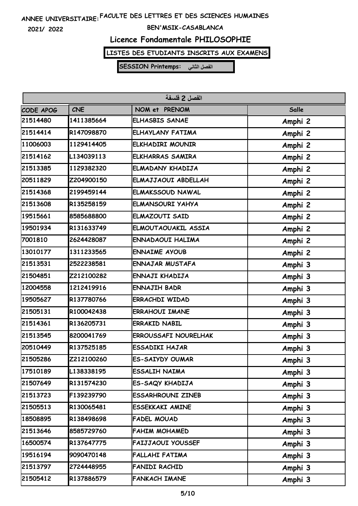**2021/ 2022**

#### **BEN'MSIK-CASABLANCA**

### **Licence Fondamentale PHILOSOPHIE**

### **LISTES DES ETUDIANTS INSCRITS AUX EXAMENS**

| الفصل 2 فلسفة |            |                             |         |
|---------------|------------|-----------------------------|---------|
| CODE APOG     | <b>CNE</b> | NOM et PRENOM               | Salle   |
| 21514480      | 1411385664 | <b>ELHASBIS SANAE</b>       | Amphi 2 |
| 21514414      | R147098870 | ELHAYLANY FATIMA            | Amphi 2 |
| 11006003      | 1129414405 | <b>ELKHADIRI MOUNIR</b>     | Amphi 2 |
| 21514162      | L134039113 | <b>ELKHARRAS SAMIRA</b>     | Amphi 2 |
| 21513385      | 1129382320 | ELMADANY KHADIJA            | Amphi 2 |
| 20511829      | Z204900150 | ELMAJJAOUI ABDELLAH         | Amphi 2 |
| 21514368      | 2199459144 | <b>ELMAKSSOUD NAWAL</b>     | Amphi 2 |
| 21513608      | R135258159 | <b>ELMANSOURI YAHYA</b>     | Amphi 2 |
| 19515661      | 8585688800 | <b>ELMAZOUTI SAID</b>       | Amphi 2 |
| 19501934      | R131633749 | ELMOUTAOUAKIL ASSIA         | Amphi 2 |
| 7001810       | 2624428087 | <b>ENNADAOUI HALIMA</b>     | Amphi 2 |
| 13010177      | 1311233565 | <b>ENNAIME AYOUB</b>        | Amphi 2 |
| 21513531      | 2522238581 | <b>ENNAJAR MUSTAFA</b>      | Amphi 3 |
| 21504851      | Z212100282 | ENNAJI KHADIJA              | Amphi 3 |
| 12004558      | 1212419916 | <b>ENNAJIH BADR</b>         | Amphi 3 |
| 19505627      | R137780766 | <b>ERRACHDI WIDAD</b>       | Amphi 3 |
| 21505131      | R100042438 | <b>ERRAHOUI IMANE</b>       | Amphi 3 |
| 21514361      | R136205731 | <b>ERRAKID NABIL</b>        | Amphi 3 |
| 21513545      | 8200041769 | <b>ERROUSSAFI NOURELHAK</b> | Amphi 3 |
| 20510449      | R137525185 | <b>ESSADIKI HAJAR</b>       | Amphi 3 |
| 21505286      | Z212100260 | <b>ES-SAIYDY OUMAR</b>      | Amphi 3 |
| 17510189      | L138338195 | ESSALIH NAIMA               | Amphi 3 |
| 21507649      | R131574230 | ES-SAQY KHADIJA             | Amphi 3 |
| 21513723      | F139239790 | <b>ESSARHROUNI ZINEB</b>    | Amphi 3 |
| 21505513      | R130065481 | <b>ESSEKKAKI AMINE</b>      | Amphi 3 |
| 18508895      | R138498698 | FADEL MOUAD                 | Amphi 3 |
| 21513646      | 8585729760 | <b>FAHIM MOHAMED</b>        | Amphi 3 |
| 16500574      | R137647775 | <b>FAIJJAOUI YOUSSEF</b>    | Amphi 3 |
| 19516194      | 9090470148 | <b>FALLAHI FATIMA</b>       | Amphi 3 |
| 21513797      | 2724448955 | FANIDI RACHID               | Amphi 3 |
| 21505412      | R137886579 | <b>FANKACH IMANE</b>        | Amphi 3 |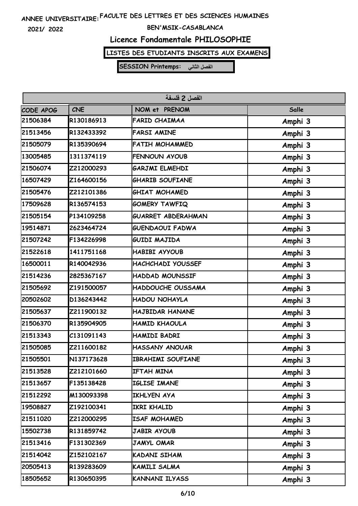**2021/ 2022**

#### **BEN'MSIK-CASABLANCA**

### **Licence Fondamentale PHILOSOPHIE**

### **LISTES DES ETUDIANTS INSCRITS AUX EXAMENS**

| الفصل 2 فلسفة |            |                           |         |
|---------------|------------|---------------------------|---------|
| CODE APOG     | <b>CNE</b> | NOM et PRENOM             | Salle   |
| 21506384      | R130186913 | <b>FARID CHAIMAA</b>      | Amphi 3 |
| 21513456      | R132433392 | <b>FARSI AMINE</b>        | Amphi 3 |
| 21505079      | R135390694 | <b>FATIH MOHAMMED</b>     | Amphi 3 |
| 13005485      | 1311374119 | FENNOUN AYOUB             | Amphi 3 |
| 21506074      | Z212000293 | GARJMI ELMEHDI            | Amphi 3 |
| 16507429      | Z164600156 | <b>GHARIB SOUFIANE</b>    | Amphi 3 |
| 21505476      | Z212101386 | <b>GHIAT MOHAMED</b>      | Amphi 3 |
| 17509628      | R136574153 | <b>GOMERY TAWFIQ</b>      | Amphi 3 |
| 21505154      | P134109258 | <b>GUARRET ABDERAHMAN</b> | Amphi 3 |
| 19514871      | 2623464724 | <b>GUENDAOUI FADWA</b>    | Amphi 3 |
| 21507242      | F134226998 | GUIDI MAJIDA              | Amphi 3 |
| 21522618      | 1411751168 | HABIBI AYYOUB             | Amphi 3 |
| 16500011      | R140042936 | HACHCHADI YOUSSEF         | Amphi 3 |
| 21514236      | 2825367167 | HADDAD MOUNSSIF           | Amphi 3 |
| 21505692      | Z191500057 | HADDOUCHE OUSSAMA         | Amphi 3 |
| 20502602      | D136243442 | HADOU NOHAYLA             | Amphi 3 |
| 21505637      | Z211900132 | HAJBIDAR HANANE           | Amphi 3 |
| 21506370      | R135904905 | HAMID KHAOULA             | Amphi 3 |
| 21513343      | C131091143 | HAMIDI BADRI              | Amphi 3 |
| 21505085      | Z211600182 | <b>HASSANY ANOUAR</b>     | Amphi 3 |
| 21505501      | N137173628 | IBRAHIMI SOUFIANE         | Amphi 3 |
| 21513528      | Z212101660 | IFTAH MINA                | Amphi 3 |
| 21513657      | F135138428 | IGLISE IMANE              | Amphi 3 |
| 21512292      | M130093398 | IKHLYEN AYA               | Amphi 3 |
| 19508827      | Z192100341 | IKRI KHALID               | Amphi 3 |
| 21511020      | Z212000295 | ISAF MOHAMED              | Amphi 3 |
| 15502738      | R131859742 | JABIR AYOUB               | Amphi 3 |
| 21513416      | F131302369 | JAMYL OMAR                | Amphi 3 |
| 21514042      | Z152102167 | KADANI SIHAM              | Amphi 3 |
| 20505413      | R139283609 | KAMILI SALMA              | Amphi 3 |
| 18505652      | R130650395 | KANNANI ILYASS            | Amphi 3 |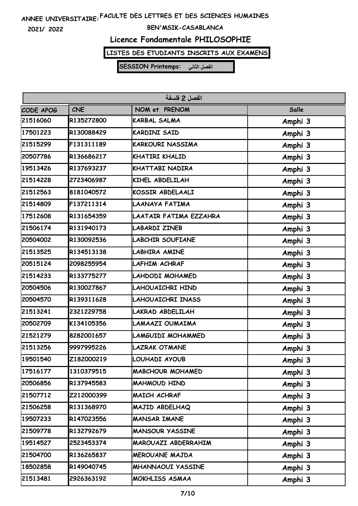**2021/ 2022**

#### **BEN'MSIK-CASABLANCA**

### **Licence Fondamentale PHILOSOPHIE**

### **LISTES DES ETUDIANTS INSCRITS AUX EXAMENS**

| الفصل 2 فلسفة |            |                          |         |
|---------------|------------|--------------------------|---------|
| CODE APOG     | <b>CNE</b> | NOM et PRENOM            | Salle   |
| 21516060      | R135272800 | <b>KARBAL SALMA</b>      | Amphi 3 |
| 17501223      | R130088429 | <b>KARDINI SAID</b>      | Amphi 3 |
| 21515299      | F131311189 | <b>KARKOURI NASSIMA</b>  | Amphi 3 |
| 20507786      | R136686217 | KHATIRI KHALID           | Amphi 3 |
| 19513426      | R137693237 | KHATTABI NADIRA          | Amphi 3 |
| 21514228      | 2723406987 | KIHEL ABDELILAH          | Amphi 3 |
| 21512563      | 8181040572 | KOSSIR ABDELAALI         | Amphi 3 |
| 21514809      | F137211314 | LAANAYA FATIMA           | Amphi 3 |
| 17512608      | R131654359 | LAATAIR FATIMA EZZAHRA   | Amphi 3 |
| 21506174      | R131940173 | <b>LABARDI ZINEB</b>     | Amphi 3 |
| 20504002      | R130092536 | <b>LABCHIR SOUFIANE</b>  | Amphi 3 |
| 21513525      | R134513138 | <b>LABHIRA AMINE</b>     | Amphi 3 |
| 20515124      | 2098255954 | LAFHIM ACHRAF            | Amphi 3 |
| 21514233      | R133775277 | LAHDODI MOHAMED          | Amphi 3 |
| 20504506      | R130027867 | LAHOUAICHRI HIND         | Amphi 3 |
| 20504570      | R139311628 | LAHOUAICHRI INASS        | Amphi 3 |
| 21513241      | 2321229758 | LAKRAD ABDELILAH         | Amphi 3 |
| 20502709      | K134105356 | LAMAAZI OUMAIMA          | Amphi 3 |
| 21521279      | 8282001657 | LAMGUIDI MOHAMMED        | Amphi 3 |
| 21513256      | 9997995226 | LAZRAK OTMANE            | Amphi 3 |
| 19501540      | Z182000219 | LOUHADI AYOUB            | Amphi 3 |
| 17516177      | 1310379515 | <b>MABCHOUR MOHAMED</b>  | Amphi 3 |
| 20506856      | R137945583 | MAHMOUD HIND             | Amphi 3 |
| 21507712      | Z212000399 | MAICH ACHRAF             | Amphi 3 |
| 21506258      | R131368970 | MAJID ABDELHAQ           | Amphi 3 |
| 19507233      | R147023556 | <b>MANSAR IMANE</b>      | Amphi 3 |
| 21509778      | R132792679 | <b>MANSOUR YASSINE</b>   | Amphi 3 |
| 19514527      | 2523453374 | MAROUAZI ABDERRAHIM      | Amphi 3 |
| 21504700      | R136265837 | MEROUANE MAJDA           | Amphi 3 |
| 18502858      | R149040745 | <b>MHANNAOUI YASSINE</b> | Amphi 3 |
| 21513481      | 2926363192 | MOKHLISS ASMAA           | Amphi 3 |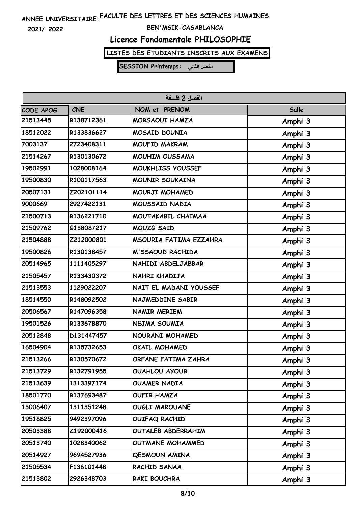**2021/ 2022**

#### **BEN'MSIK-CASABLANCA**

### **Licence Fondamentale PHILOSOPHIE**

# **LISTES DES ETUDIANTS INSCRITS AUX EXAMENS**

| الفصل 2 فلسفة |            |                        |         |
|---------------|------------|------------------------|---------|
| CODE APOG     | <b>CNE</b> | NOM et PRENOM          | Salle   |
| 21513445      | R138712361 | <b>MORSAOUI HAMZA</b>  | Amphi 3 |
| 18512022      | R133836627 | MOSAID DOUNIA          | Amphi 3 |
| 7003137       | 2723408311 | MOUFID MAKRAM          | Amphi 3 |
| 21514267      | R130130672 | MOUHIM OUSSAMA         | Amphi 3 |
| 19502991      | 1028008164 | MOUKHLISS YOUSSEF      | Amphi 3 |
| 19500830      | R100117563 | <b>MOUNIR SOUKAINA</b> | Amphi 3 |
| 20507131      | Z202101114 | MOURJI MOHAMED         | Amphi 3 |
| 9000669       | 2927422131 | MOUSSAID NADIA         | Amphi 3 |
| 21500713      | R136221710 | MOUTAKABIL CHAIMAA     | Amphi 3 |
| 21509762      | G138087217 | MOUZG SAID             | Amphi 3 |
| 21504888      | Z212000801 | MSOURIA FATIMA EZZAHRA | Amphi 3 |
| 19500826      | R130138457 | M'SSAOUD RACHIDA       | Amphi 3 |
| 20514965      | 1111405297 | NAHIDI ABDELJABBAR     | Amphi 3 |
| 21505457      | R133430372 | NAHRI KHADIJA          | Amphi 3 |
| 21513553      | 1129022207 | NAIT EL MADANI YOUSSEF | Amphi 3 |
| 18514550      | R148092502 | NAJMEDDINE SABIR       | Amphi 3 |
| 20506567      | R147096358 | <b>NAMIR MERIEM</b>    | Amphi 3 |
| 19501526      | R133678870 | NEJMA SOUMIA           | Amphi 3 |
| 20512848      | D131447457 | NOURANI MOHAMED        | Amphi 3 |
| 16504904      | R135732653 | OKAIL MOHAMED          | Amphi 3 |
| 21513266      | R130570672 | ORFANE FATIMA ZAHRA    | Amphi 3 |
| 21513729      | R132791955 | OUAHLOU AYOUB          | Amphi 3 |
| 21513639      | 1313397174 | <b>OUAMER NADIA</b>    | Amphi 3 |
| 18501770      | R137693487 | <b>OUFIR HAMZA</b>     | Amphi 3 |
| 13006407      | 1311351248 | <b>OUGLI MAROUANE</b>  | Amphi 3 |
| 19518825      | 9492397096 | OUIFAQ RACHID          | Amphi 3 |
| 20503388      | Z192000416 | OUTALEB ABDERRAHIM     | Amphi 3 |
| 20513740      | 1028340062 | OUTMANE MOHAMMED       | Amphi 3 |
| 20514927      | 9694527936 | <b>QESMOUN AMINA</b>   | Amphi 3 |
| 21505534      | F136101448 | RACHID SANAA           | Amphi 3 |
| 21513802      | 2926348703 | RAKI BOUCHRA           | Amphi 3 |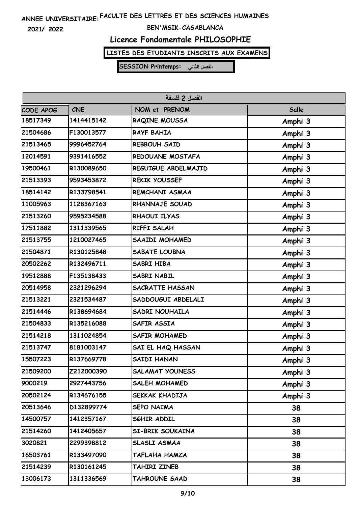**2021/ 2022**

#### **BEN'MSIK-CASABLANCA**

# **Licence Fondamentale PHILOSOPHIE**

### **LISTES DES ETUDIANTS INSCRITS AUX EXAMENS**

| الفصل 2 فلسفة                                     |            |                        |         |  |  |
|---------------------------------------------------|------------|------------------------|---------|--|--|
| <b>CNE</b><br>NOM et PRENOM<br>Salle<br>CODE APOG |            |                        |         |  |  |
| 18517349                                          | 1414415142 | RAQINE MOUSSA          | Amphi 3 |  |  |
| 21504686                                          | F130013577 | RAYF BAHIA             | Amphi 3 |  |  |
| 21513465                                          | 9996452764 | REBBOUH SAID           | Amphi 3 |  |  |
| 12014591                                          | 9391416552 | REDOUANE MOSTAFA       | Amphi 3 |  |  |
| 19500461                                          | R130089650 | REGUIGUE ABDELMAJID    | Amphi 3 |  |  |
| 21513393                                          | 9593453872 | REKIK YOUSSEF          | Amphi 3 |  |  |
| 18514142                                          | R133798541 | REMCHANI ASMAA         | Amphi 3 |  |  |
| 11005963                                          | 1128367163 | RHANNAJE SOUAD         | Amphi 3 |  |  |
| 21513260                                          | 9595234588 | RHAOUI ILYAS           | Amphi 3 |  |  |
| 17511882                                          | 1311339565 | RIFFI SALAH            | Amphi 3 |  |  |
| 21513755                                          | 1210027465 | <b>SAAIDI MOHAMED</b>  | Amphi 3 |  |  |
| 21504871                                          | R130125848 | <b>SABATE LOUBNA</b>   | Amphi 3 |  |  |
| 20502262                                          | R132496711 | SABRI HIBA             | Amphi 3 |  |  |
| 19512888                                          | F135138433 | <b>SABRI NABIL</b>     | Amphi 3 |  |  |
| 20514958                                          | 2321296294 | <b>SACRATTE HASSAN</b> | Amphi 3 |  |  |
| 21513221                                          | 2321534487 | SADDOUGUI ABDELALI     | Amphi 3 |  |  |
| 21514446                                          | R138694684 | SADRI NOUHAILA         | Amphi 3 |  |  |
| 21504833                                          | R135216088 | SAFIR ASSIA            | Amphi 3 |  |  |
| 21514218                                          | 1311024854 | <b>SAFIR MOHAMED</b>   | Amphi 3 |  |  |
| 21513747                                          | 8181003147 | SAI EL HAQ HASSAN      | Amphi 3 |  |  |
| 15507223                                          | R137669778 | <b>SAIDI HANAN</b>     | Amphi 3 |  |  |
| 21509200                                          | Z212000390 | <b>SALAMAT YOUNESS</b> | Amphi 3 |  |  |
| 9000219                                           | 2927443756 | <b>SALEH MOHAMED</b>   | Amphi 3 |  |  |
| 20502124                                          | R134676155 | SEKKAK KHADIJA         | Amphi 3 |  |  |
| 20513646                                          | D132899774 | <b>SEPO NAIMA</b>      | 38      |  |  |
| 14500757                                          | 1412357167 | SGHIR ADDIL            | 38      |  |  |
| 21514260                                          | 1412405657 | SI-BRIK SOUKAINA       | 38      |  |  |
| 3020821                                           | 2299398812 | SLASLI ASMAA           | 38      |  |  |
| 16503761                                          | R133497090 | TAFLAHA HAMZA          | 38      |  |  |
| 21514239                                          | R130161245 | TAHIRI ZINEB           | 38      |  |  |
| 13006173                                          | 1311336569 | TAHROUNE SAAD          | 38      |  |  |